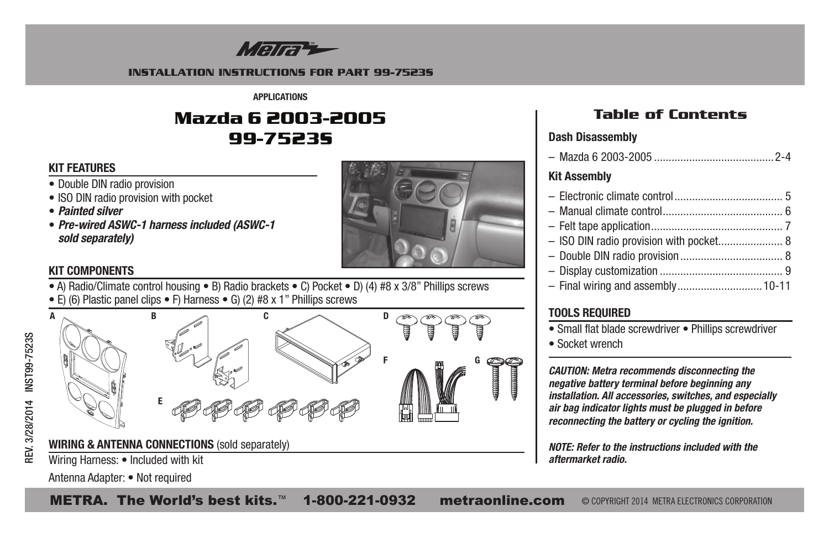

#### **INSTALLATION INSTRUCTIONS FOR PART 99-7523S**

**APPLICATIONS**

# **Mazda 6 2003-2005 99-7523S**

# **KIT FEATURES**

- Double DIN radio provision
- ISO DIN radio provision with pocket
- *Painted silver*
- *Pre-wired ASWC-1 harness included (ASWC-1 sold separately)*



# **KIT COMPONENTS**

• A) Radio/Climate control housing • B) Radio brackets • C) Pocket • D) (4) #8 x 3/8" Phillips screws • E) (6) Plastic panel clips • F) Harness • G) (2) #8 x 1" Phillips screws





# **Table of Contents**

# **Dash Disassembly**

| <b>Kit Assembly</b>                     |  |
|-----------------------------------------|--|
|                                         |  |
|                                         |  |
|                                         |  |
| - ISO DIN radio provision with pocket 8 |  |
|                                         |  |
|                                         |  |
| - Final wiring and assembly 10-11       |  |

# **TOOLS REQUIRED**

- Small flat blade screwdriver Phillips screwdriver
- Socket wrench

*CAUTION: Metra recommends disconnecting the negative battery terminal before beginning any installation. All accessories, switches, and especially air bag indicator lights must be plugged in before reconnecting the battery or cycling the ignition.*

*NOTE: Refer to the instructions included with the aftermarket radio.*

Antenna Adapter: • Not required

METRA. The World's best kits.™ 1-800-221-0932 metraonline.com © COPYRIGHT 2014 METRA ELECTRONICS CORPORATION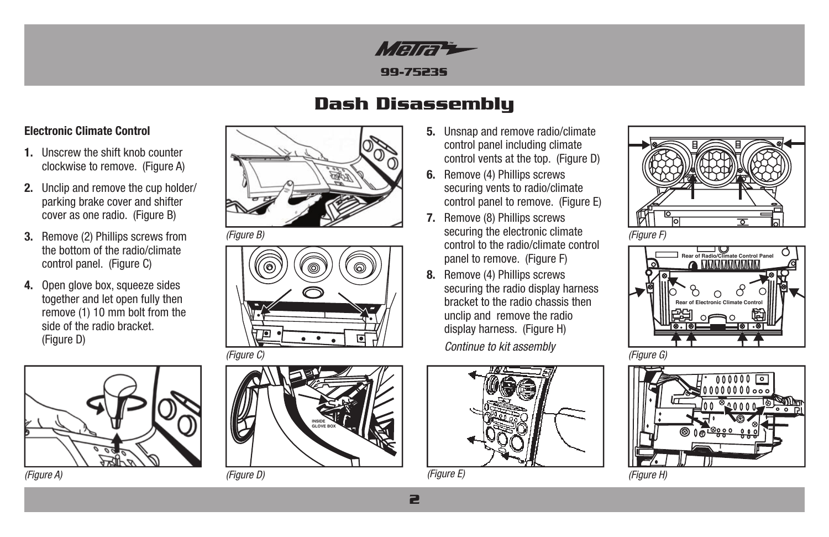

# **Dash Disassembly**

## **Electronic Climate Control**

- **1.** Unscrew the shift knob counter clockwise to remove. (Figure A)
- **2.** Unclip and remove the cup holder/ parking brake cover and shifter cover as one radio. (Figure B)
- **3.** Remove (2) Phillips screws from the bottom of the radio/climate control panel. (Figure C)
- **4.** Open glove box, squeeze sides together and let open fully then remove (1) 10 mm bolt from the side of the radio bracket. (Figure D)









- **5.** Unsnap and remove radio/climate control panel including climate control vents at the top. (Figure D)
- **6.** Remove (4) Phillips screws securing vents to radio/climate control panel to remove. (Figure E)
- *(Figure B) (Figure F)* securing the electronic climate **7.** Remove (8) Phillips screws control to the radio/climate control panel to remove. (Figure F)
	- **8.** Remove (4) Phillips screws securing the radio display harness bracket to the radio chassis then unclip and remove the radio display harness. (Figure H) *Continue to kit assembly*



*(Figure E)*







*(Figure A) (Figure D) (Figure H)*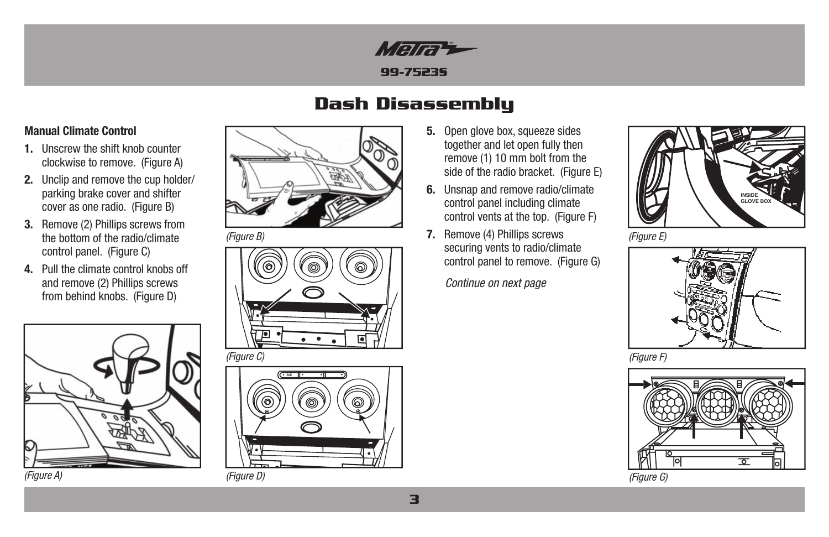

# **Dash Disassembly**

## **Manual Climate Control**

- **1.** Unscrew the shift knob counter clockwise to remove. (Figure A)
- **2.** Unclip and remove the cup holder/ parking brake cover and shifter cover as one radio. (Figure B)
- **3.** Remove (2) Phillips screws from the bottom of the radio/climate control panel. (Figure C)
- **4.** Pull the climate control knobs off and remove (2) Phillips screws from behind knobs. (Figure D)







*(Figure B)*





- **5.** Open glove box, squeeze sides together and let open fully then remove (1) 10 mm bolt from the side of the radio bracket. (Figure E)
- **6.** Unsnap and remove radio/climate control panel including climate control vents at the top. (Figure F)
- **7.** Remove (4) Phillips screws securing vents to radio/climate control panel to remove. (Figure G)

*Continue on next page*



*(Figure E)*



*(Figure F)*



*(Figure D) (Figure G)*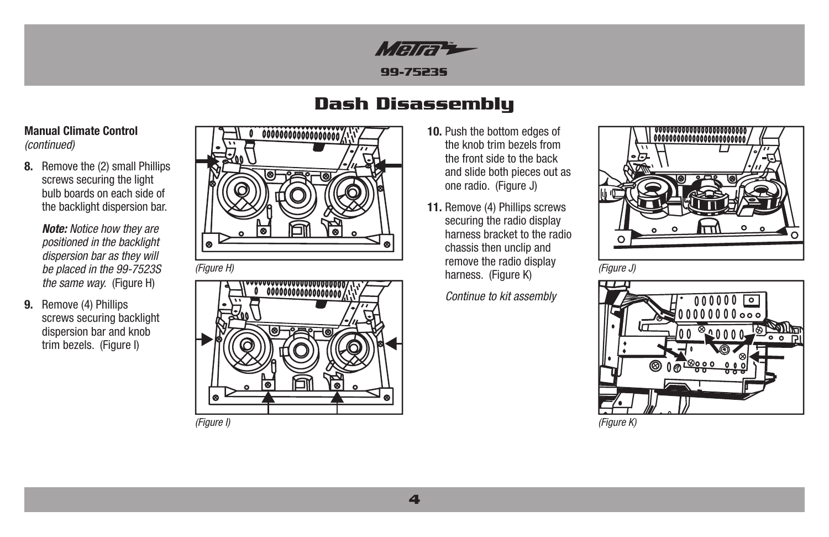

# **Dash Disassembly**

## **Manual Climate Control**  *(continued)*

**8.** Remove the (2) small Phillips screws securing the light bulb boards on each side of the backlight dispersion bar.

> *Note: Notice how they are positioned in the backlight dispersion bar as they will be placed in the 99-7523S the same way.* (Figure H)

 **9.** Remove (4) Phillips screws securing backlight dispersion bar and knob trim bezels. (Figure I)





- **10.** Push the bottom edges of the knob trim bezels from the front side to the back and slide both pieces out as one radio. (Figure J)
- **11.** Remove (4) Phillips screws securing the radio display harness bracket to the radio chassis then unclip and remove the radio display harness. (Figure K) *(Figure H) (Figure J)*

*Continue to kit assembly*





*(Figure I) (Figure K)*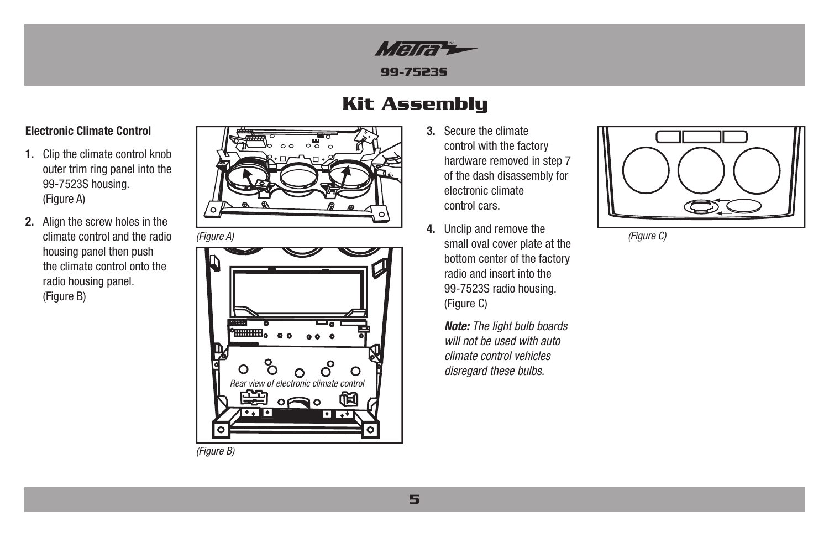

# **Kit Assembly**

## **Electronic Climate Control**

- **1.** Clip the climate control knob outer trim ring panel into the 99-7523S housing. (Figure A)
- **2.** Align the screw holes in the climate control and the radio housing panel then push the climate control onto the radio housing panel. (Figure B)



*(Figure A)*



- **3.** Secure the climate control with the factory hardware removed in step 7 of the dash disassembly for electronic climate control cars.
- **4.** Unclip and remove the small oval cover plate at the bottom center of the factory radio and insert into the 99-7523S radio housing. (Figure C)

*Note: The light bulb boards will not be used with auto climate control vehicles disregard these bulbs.*



*(Figure C)*

*(Figure B)*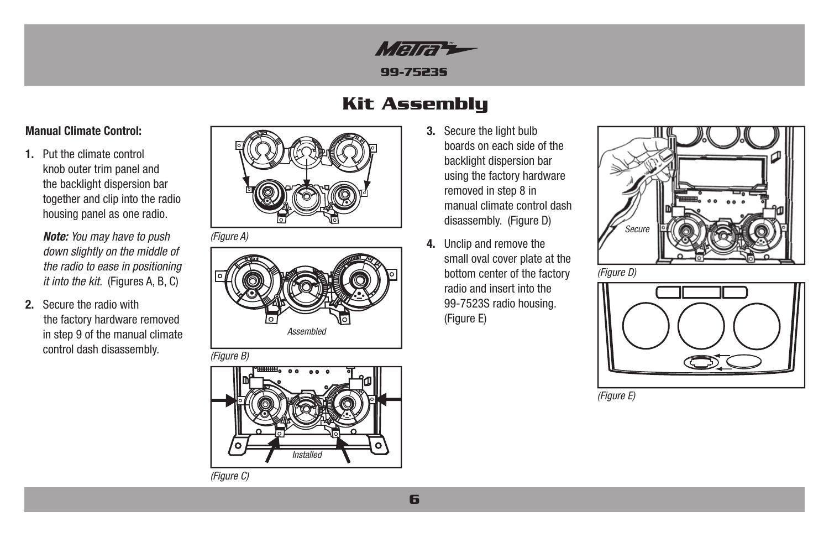

# **Kit Assembly**

## **Manual Climate Control:**

**1.** Put the climate control knob outer trim panel and the backlight dispersion bar together and clip into the radio housing panel as one radio.

> *Note: You may have to push down slightly on the middle of the radio to ease in positioning it into the kit.* (Figures A, B, C)

**2.** Secure the radio with the factory hardware removed in step 9 of the manual climate control dash disassembly.



*(Figure A)*



*(Figure B)*





- **3.** Secure the light bulb boards on each side of the backlight dispersion bar using the factory hardware removed in step 8 in manual climate control dash disassembly. (Figure D)
- **4.** Unclip and remove the small oval cover plate at the bottom center of the factory radio and insert into the 99-7523S radio housing. (Figure E)



*(Figure D)*



*(Figure E)*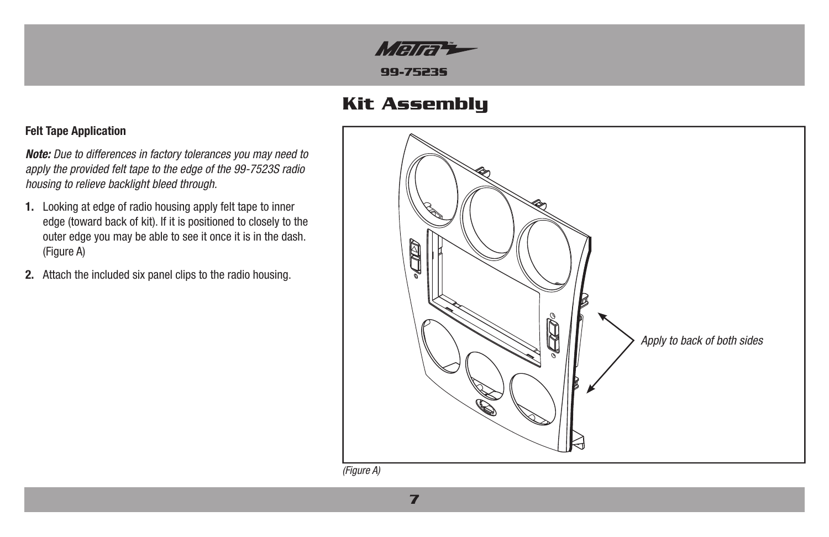

# **Kit Assembly**

## **Felt Tape Application**

*Note: Due to differences in factory tolerances you may need to apply the provided felt tape to the edge of the 99-7523S radio housing to relieve backlight bleed through.*

- **1.** Looking at edge of radio housing apply felt tape to inner edge (toward back of kit). If it is positioned to closely to the outer edge you may be able to see it once it is in the dash. (Figure A)
- **2.** Attach the included six panel clips to the radio housing.



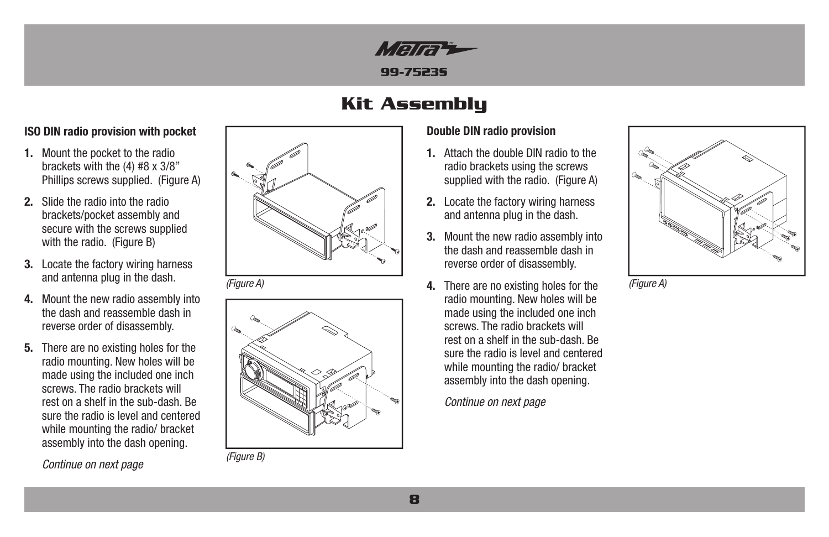

# **Kit Assembly**

## **ISO DIN radio provision with pocket**

- **1.** Mount the pocket to the radio brackets with the (4) #8 x 3/8" Phillips screws supplied. (Figure A)
- **2.** Slide the radio into the radio brackets/pocket assembly and secure with the screws supplied with the radio. (Figure B)
- **3.** Locate the factory wiring harness and antenna plug in the dash.
- **4.** Mount the new radio assembly into the dash and reassemble dash in reverse order of disassembly.
- **5.** There are no existing holes for the radio mounting. New holes will be made using the included one inch screws. The radio brackets will rest on a shelf in the sub-dash. Be sure the radio is level and centered while mounting the radio/ bracket assembly into the dash opening.

*Continue on next page*



*(Figure A)*



*(Figure B)*

## **Double DIN radio provision**

- **1.** Attach the double DIN radio to the radio brackets using the screws supplied with the radio. (Figure A)
- **2.** Locate the factory wiring harness and antenna plug in the dash.
- **3.** Mount the new radio assembly into the dash and reassemble dash in reverse order of disassembly.
- **4.** There are no existing holes for the radio mounting. New holes will be made using the included one inch screws. The radio brackets will rest on a shelf in the sub-dash. Be sure the radio is level and centered while mounting the radio/ bracket assembly into the dash opening.

*Continue on next page*



*(Figure A)*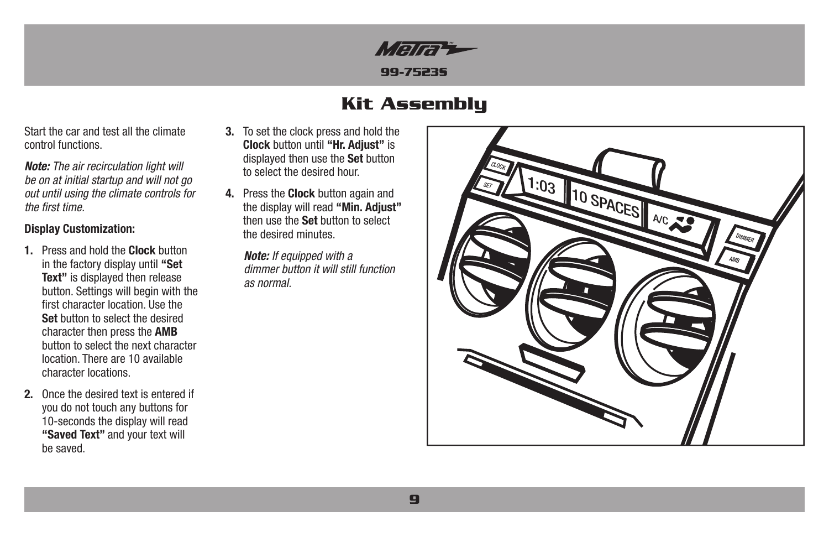

# **Kit Assembly**

Start the car and test all the climate control functions.

*Note: The air recirculation light will be on at initial startup and will not go out until using the climate controls for the first time.*

## **Display Customization:**

- **1.** Press and hold the **Clock** button in the factory display until **"Set Text"** is displayed then release button. Settings will begin with the first character location. Use the **Set** button to select the desired character then press the **AMB** button to select the next character location. There are 10 available character locations.
- **2.** Once the desired text is entered if you do not touch any buttons for 10-seconds the display will read **"Saved Text"** and your text will be saved.
- **3.** To set the clock press and hold the **Clock** button until **"Hr. Adjust"** is displayed then use the **Set** button to select the desired hour.
- **4.** Press the **Clock** button again and the display will read **"Min. Adjust"** then use the **Set** button to select the desired minutes.

*Note: If equipped with a dimmer button it will still function as normal.*

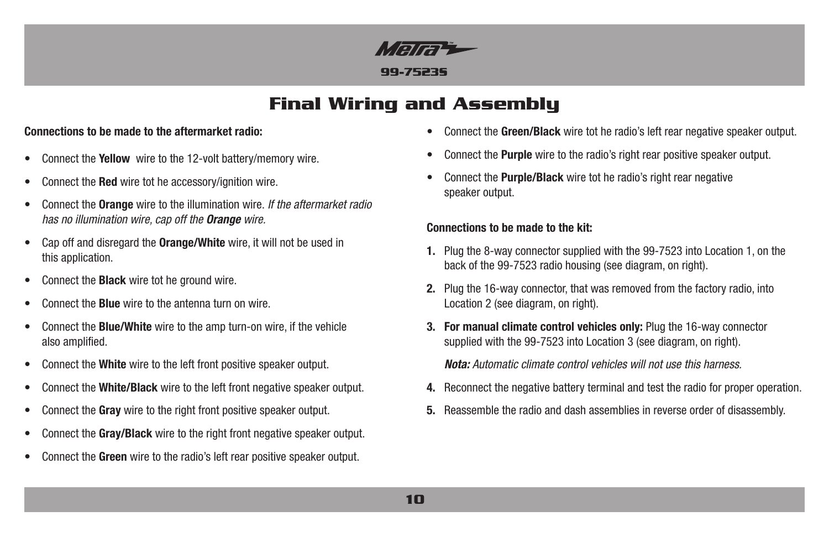

# **Final Wiring and Assembly**

## **Connections to be made to the aftermarket radio:**

- Connect the **Yellow** wire to the 12-volt battery/memory wire.
- Connect the **Red** wire tot he accessory/ignition wire.
- Connect the **Orange** wire to the illumination wire. *If the aftermarket radio has no illumination wire, cap off the Orange wire.*
- Cap off and disregard the **Orange/White** wire, it will not be used in this application.
- Connect the **Black** wire tot he ground wire.
- Connect the **Blue** wire to the antenna turn on wire.
- Connect the **Blue/White** wire to the amp turn-on wire, if the vehicle also amplified.
- Connect the **White** wire to the left front positive speaker output.
- Connect the **White/Black** wire to the left front negative speaker output.
- Connect the **Gray** wire to the right front positive speaker output.
- Connect the **Gray/Black** wire to the right front negative speaker output.
- Connect the **Green** wire to the radio's left rear positive speaker output.
- Connect the **Green/Black** wire tot he radio's left rear negative speaker output.
- Connect the **Purple** wire to the radio's right rear positive speaker output.
- Connect the **Purple/Black** wire tot he radio's right rear negative speaker output.

## **Connections to be made to the kit:**

- **1.** Plug the 8-way connector supplied with the 99-7523 into Location 1, on the back of the 99-7523 radio housing (see diagram, on right).
- **2.** Plug the 16-way connector, that was removed from the factory radio, into Location 2 (see diagram, on right).
- **3. For manual climate control vehicles only:** Plug the 16-way connector supplied with the 99-7523 into Location 3 (see diagram, on right).

*Nota: Automatic climate control vehicles will not use this harness.*

- **4.** Reconnect the negative battery terminal and test the radio for proper operation.
- **5.** Reassemble the radio and dash assemblies in reverse order of disassembly.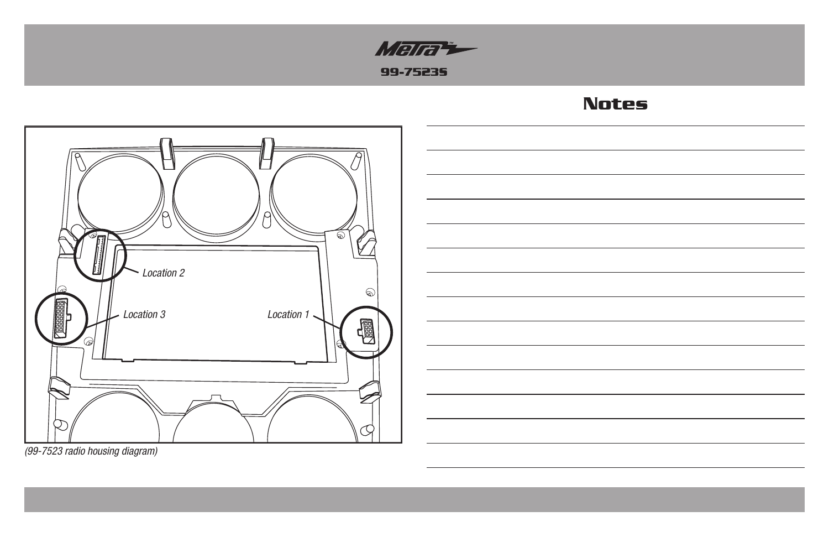

# **Notes**





*(99-7523 radio housing diagram)*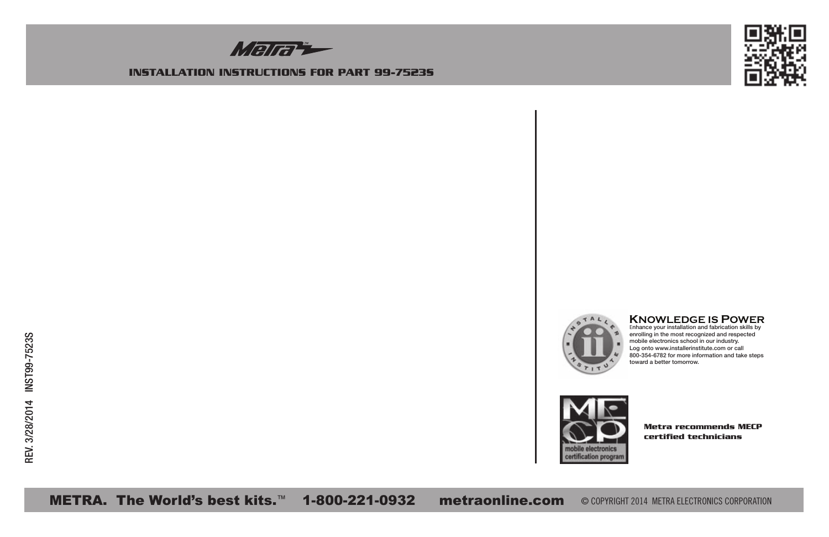

#### **INSTALLATION INSTRUCTIONS FOR PART 99-7523S**





# **KNOWLEDGE IS POWER** <sup>E</sup>nhance your installation and fabrication skills by

enrolling in the most recognized and respected mobile electronics school in our industry. Log onto www.installerinstitute.com or call 800-354-6782 for more information and take steps toward a better tomorrow.



**Metra recommends MECP certified technicians**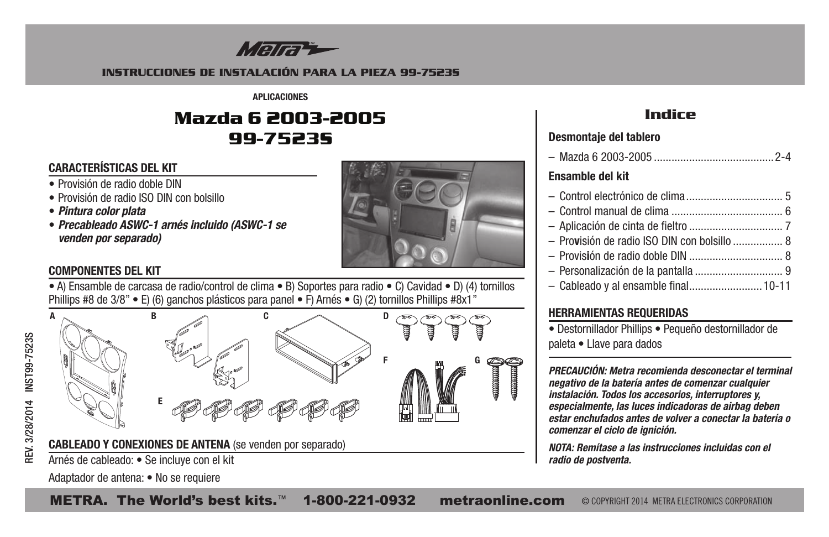

#### **INSTRUCCIONES DE INSTALACIÓN PARA LA PIEZA 99-7523S**

**APLICACIONES**

# **Mazda 6 2003-2005 99-7523S**

# **CARACTERÍSTICAS DEL KIT**

- Provisión de radio doble DIN
- Provisión de radio ISO DIN con bolsillo
- *Pintura color plata*
- *Precableado ASWC-1 arnés incluido (ASWC-1 se venden por separado)*



# **COMPONENTES DEL KIT**

• A) Ensamble de carcasa de radio/control de clima • B) Soportes para radio • C) Cavidad • D) (4) tornillos Phillips #8 de 3/8" • E) (6) ganchos plásticos para panel • F) Arnés • G) (2) tornillos Phillips #8x1"





# **Indice**

## **Desmontaje del tablero**

| Ensamble del kit                             |  |
|----------------------------------------------|--|
|                                              |  |
|                                              |  |
|                                              |  |
| - Provisión de radio ISO DIN con bolsillo  8 |  |
|                                              |  |
|                                              |  |
|                                              |  |

# **HERRAMIENTAS REQUERIDAS**

• Destornillador Phillips • Pequeño destornillador de paleta • Llave para dados

*PRECAUCIÓN: Metra recomienda desconectar el terminal negativo de la batería antes de comenzar cualquier instalación. Todos los accesorios, interruptores y, especialmente, las luces indicadoras de airbag deben estar enchufados antes de volver a conectar la batería o comenzar el ciclo de ignición.*

*NOTA: Remítase a las instrucciones incluidas con el radio de postventa.*

Arnés de cableado: • Se incluye con el kit Adaptador de antena: • No se requiere

METRA. The World's best kits.™ 1-800-221-0932 metraonline.com © COPYRIGHT 2014 METRA ELECTRONICS CORPORATION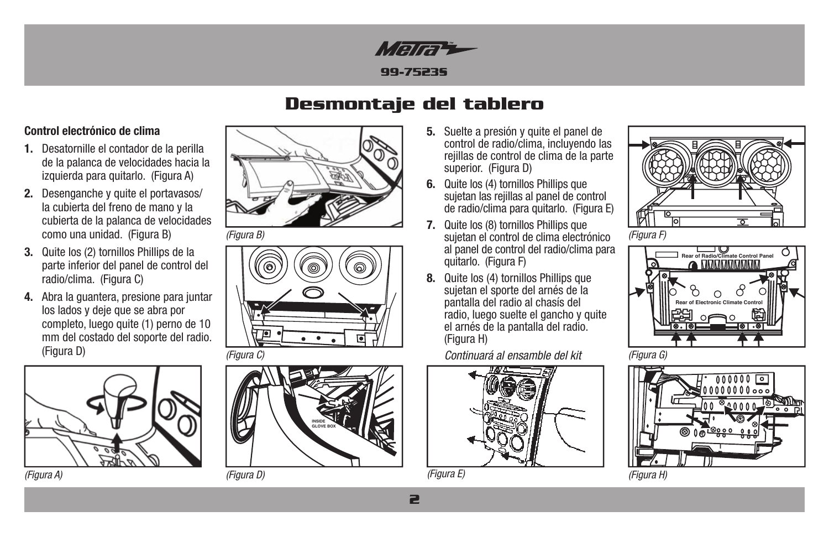

# **Desmontaje del tablero**

## **Control electrónico de clima**

- **1.** Desatornille el contador de la perilla de la palanca de velocidades hacia la izquierda para quitarlo. (Figura A)
- **2.** Desenganche y quite el portavasos/ la cubierta del freno de mano y la cubierta de la palanca de velocidades como una unidad. (Figura B)
- **3.** Quite los (2) tornillos Phillips de la parte inferior del panel de control del radio/clima. (Figura C)
- **4.** Abra la guantera, presione para juntar los lados y deje que se abra por completo, luego quite (1) perno de 10 mm del costado del soporte del radio. (Figura D)









- **5.** Suelte a presión y quite el panel de control de radio/clima, incluyendo las rejillas de control de clima de la parte superior. (Figura D)
- **6.** Quite los (4) tornillos Phillips que sujetan las rejillas al panel de control de radio/clima para quitarlo. (Figura E)
- *(Figura B) (Figura F)* sujetan el control de clima electrónico **7.** Quite los (8) tornillos Phillips que al panel de control del radio/clima para quitarlo. (Figura F)
	- **8.** Quite los (4) tornillos Phillips que sujetan el sporte del arnés de la pantalla del radio al chasís del radio, luego suelte el gancho y quite el arnés de la pantalla del radio. (Figura H)

*(Figura C) (Figura G) Continuará al ensamble del kit*



*(Figura E)*









*(Figura A) (Figura D) (Figura H)*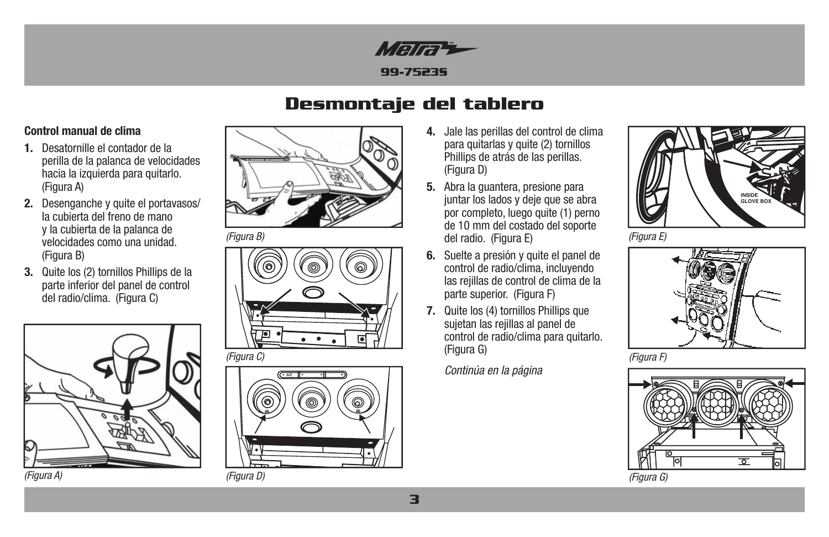

# **Desmontaje del tablero**

## **Control manual de clima**

- **1.** Desatornille el contador de la perilla de la palanca de velocidades hacia la izquierda para quitarlo. (Figura A)
- **2.** Desenganche y quite el portavasos/ la cubierta del freno de mano y la cubierta de la palanca de velocidades como una unidad. (Figura B)
- **3.** Quite los (2) tornillos Phillips de la parte inferior del panel de control del radio/clima. (Figura C)







*(Figura B)*





- **4.** Jale las perillas del control de clima para quitarlas y quite (2) tornillos Phillips de atrás de las perillas. (Figura D)
- **5.** Abra la guantera, presione para juntar los lados y deje que se abra por completo, luego quite (1) perno de 10 mm del costado del soporte del radio. (Figura E)
- **6.** Suelte a presión y quite el panel de control de radio/clima, incluyendo las rejillas de control de clima de la parte superior. (Figura F)
- **7.** Quite los (4) tornillos Phillips que sujetan las rejillas al panel de control de radio/clima para quitarlo. (Figura G)

*Continúa en la página*



*(Figura E)*



*(Figura F)*

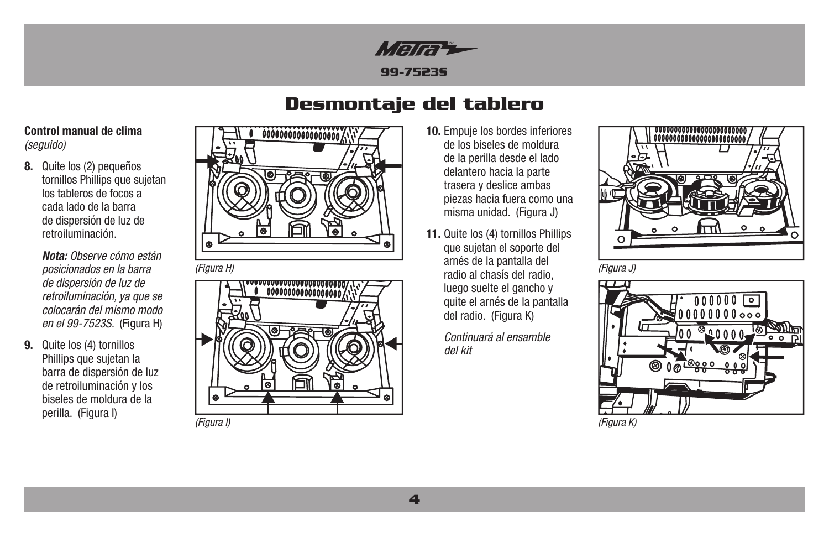

# **Desmontaje del tablero**

## **Control manual de clima**  *(seguido)*

**8.** Quite los (2) pequeños tornillos Phillips que sujetan los tableros de focos a cada lado de la barra de dispersión de luz de retroiluminación.

> *Nota: Observe cómo están posicionados en la barra de dispersión de luz de retroiluminación, ya que se colocarán del mismo modo en el 99-7523S.* (Figura H)

 **9.** Quite los (4) tornillos Phillips que sujetan la barra de dispersión de luz de retroiluminación y los biseles de moldura de la perilla. (Figura I)





- **10.** Empuje los bordes inferiores de los biseles de moldura de la perilla desde el lado delantero hacia la parte trasera y deslice ambas piezas hacia fuera como una misma unidad. (Figura J)
- **11.** Quite los (4) tornillos Phillips que sujetan el soporte del arnés de la pantalla del radio al chasís del radio, *(Figura H) (Figura J)* luego suelte el gancho y quite el arnés de la pantalla del radio. (Figura K)

*Continuará al ensamble del kit*





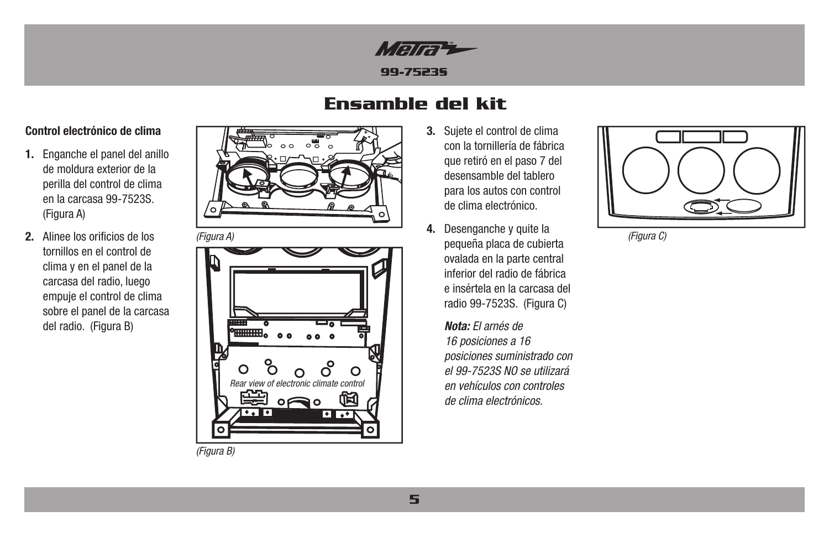

# **Ensamble del kit**

## **Control electrónico de clima**

- **1.** Enganche el panel del anillo de moldura exterior de la perilla del control de clima en la carcasa 99-7523S. (Figura A)
- **2.** Alinee los orificios de los tornillos en el control de clima y en el panel de la carcasa del radio, luego empuje el control de clima sobre el panel de la carcasa del radio. (Figura B)



*(Figura A)*



*(Figura B)*

- **3.** Sujete el control de clima con la tornillería de fábrica que retiró en el paso 7 del desensamble del tablero para los autos con control de clima electrónico.
- **4.** Desenganche y quite la pequeña placa de cubierta ovalada en la parte central inferior del radio de fábrica e insértela en la carcasa del radio 99-7523S. (Figura C)

*Nota: El arnés de 16 posiciones a 16 posiciones suministrado con el 99-7523S NO se utilizará en vehículos con controles de clima electrónicos.* 



*(Figura C)*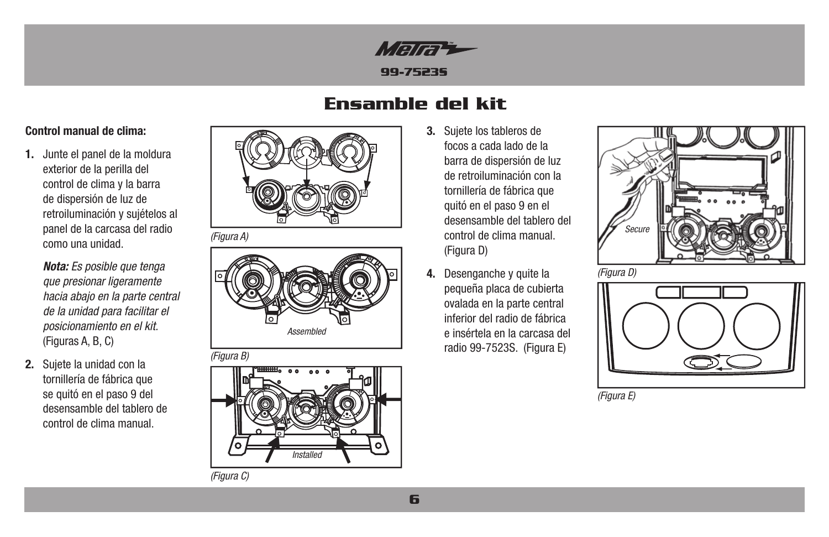

# **Ensamble del kit**

## **Control manual de clima:**

**1.** Junte el panel de la moldura exterior de la perilla del control de clima y la barra de dispersión de luz de retroiluminación y sujételos al panel de la carcasa del radio como una unidad.

> *Nota: Es posible que tenga que presionar ligeramente hacia abajo en la parte central de la unidad para facilitar el posicionamiento en el kit.*  (Figuras A, B, C)

**2.** Sujete la unidad con la tornillería de fábrica que se quitó en el paso 9 del desensamble del tablero de control de clima manual.



*(Figura A)*





- **3.** Sujete los tableros de focos a cada lado de la barra de dispersión de luz de retroiluminación con la tornillería de fábrica que quitó en el paso 9 en el desensamble del tablero del control de clima manual. (Figura D)
- **4.** Desenganche y quite la pequeña placa de cubierta ovalada en la parte central inferior del radio de fábrica e insértela en la carcasa del radio 99-7523S. (Figura E)





*(Figura E)*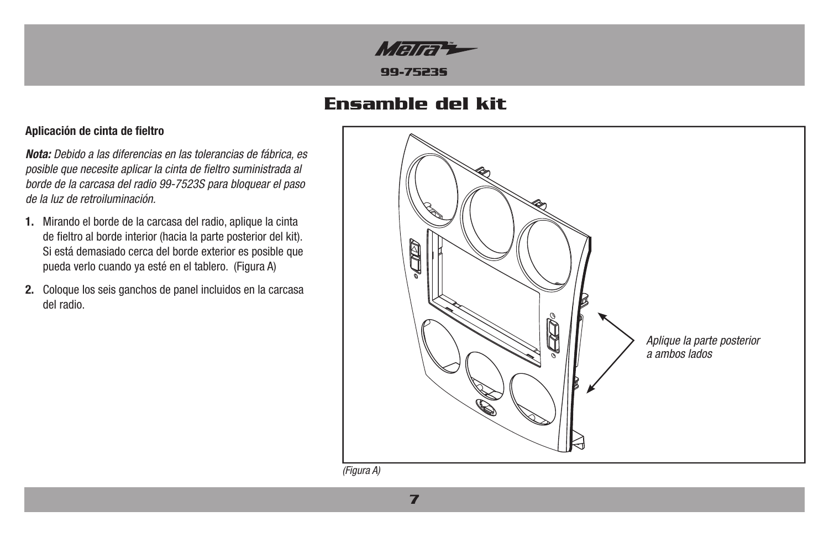

# **Ensamble del kit**

## **Aplicación de cinta de fieltro**

*Nota: Debido a las diferencias en las tolerancias de fábrica, es posible que necesite aplicar la cinta de fieltro suministrada al borde de la carcasa del radio 99-7523S para bloquear el paso de la luz de retroiluminación.*

- **1.** Mirando el borde de la carcasa del radio, aplique la cinta de fieltro al borde interior (hacia la parte posterior del kit). Si está demasiado cerca del borde exterior es posible que pueda verlo cuando ya esté en el tablero. (Figura A)
- **2.** Coloque los seis ganchos de panel incluidos en la carcasa del radio.



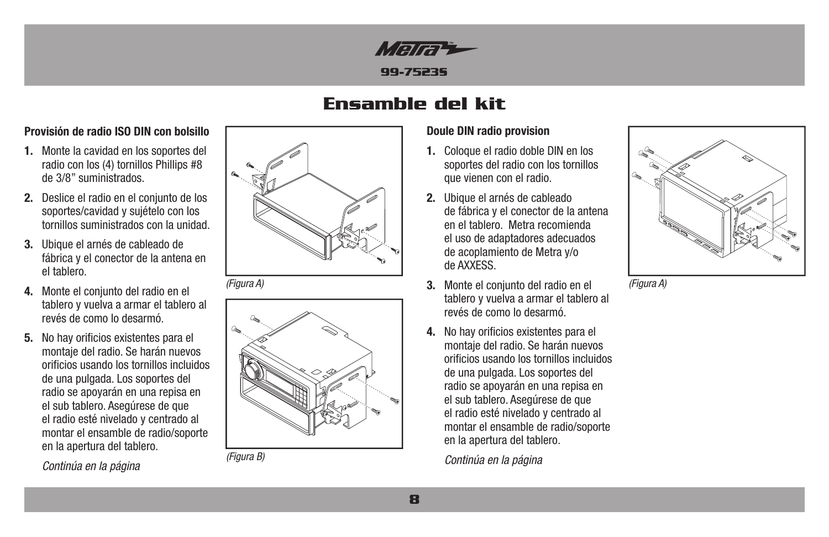

# **Ensamble del kit**

## **Provisión de radio ISO DIN con bolsillo**

- **1.** Monte la cavidad en los soportes del radio con los (4) tornillos Phillips #8 de 3/8" suministrados.
- **2.** Deslice el radio en el conjunto de los soportes/cavidad y sujételo con los tornillos suministrados con la unidad.
- **3.** Ubique el arnés de cableado de fábrica y el conector de la antena en el tablero.
- **4.** Monte el conjunto del radio en el tablero y vuelva a armar el tablero al revés de como lo desarmó.
- **5.** No hay orificios existentes para el montaje del radio. Se harán nuevos orificios usando los tornillos incluidos de una pulgada. Los soportes del radio se apoyarán en una repisa en el sub tablero. Asegúrese de que el radio esté nivelado y centrado al montar el ensamble de radio/soporte en la apertura del tablero.

 *Continúa en la página*



*(Figura A)*



*(Figura B)*

## **Doule DIN radio provision**

- **1.** Coloque el radio doble DIN en los soportes del radio con los tornillos que vienen con el radio.
- **2.** Ubique el arnés de cableado de fábrica y el conector de la antena en el tablero. Metra recomienda el uso de adaptadores adecuados de acoplamiento de Metra y/o de AXXESS.
- **3.** Monte el conjunto del radio en el tablero y vuelva a armar el tablero al revés de como lo desarmó.
- **4.** No hay orificios existentes para el montaje del radio. Se harán nuevos orificios usando los tornillos incluidos de una pulgada. Los soportes del radio se apoyarán en una repisa en el sub tablero. Asegúrese de que el radio esté nivelado y centrado al montar el ensamble de radio/soporte en la apertura del tablero.

*Continúa en la página*



*(Figura A)*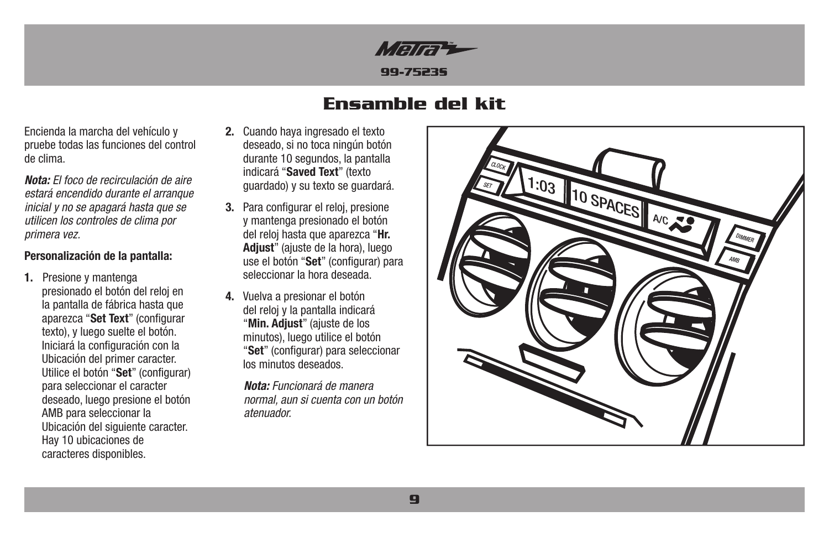

# **Ensamble del kit**

Encienda la marcha del vehículo y pruebe todas las funciones del control de clima.

*Nota: El foco de recirculación de aire estará encendido durante el arranque inicial y no se apagará hasta que se utilicen los controles de clima por primera vez.*

## **Personalización de la pantalla:**

**1.** Presione y mantenga presionado el botón del reloj en la pantalla de fábrica hasta que aparezca "**Set Text**" (configurar texto), y luego suelte el botón. Iniciará la configuración con la Ubicación del primer caracter. Utilice el botón "**Set**" (configurar) para seleccionar el caracter deseado, luego presione el botón AMB para seleccionar la Ubicación del siguiente caracter. Hay 10 ubicaciones de caracteres disponibles.

- **2.** Cuando haya ingresado el texto deseado, si no toca ningún botón durante 10 segundos, la pantalla indicará "**Saved Text**" (texto guardado) y su texto se guardará.
- **3.** Para configurar el reloj, presione y mantenga presionado el botón del reloj hasta que aparezca "**Hr. Adjust**" (ajuste de la hora), luego use el botón "**Set**" (configurar) para seleccionar la hora deseada.
- **4.** Vuelva a presionar el botón del reloj y la pantalla indicará "**Min. Adjust**" (ajuste de los minutos), luego utilice el botón "**Set**" (configurar) para seleccionar los minutos deseados.

*Nota: Funcionará de manera normal, aun si cuenta con un botón atenuador.*

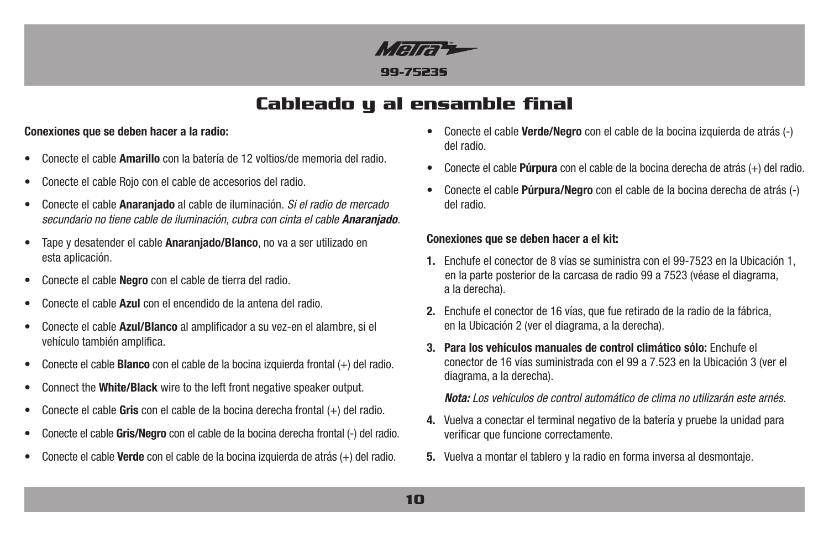

# **Cableado y al ensamble final**

## **Conexiones que se deben hacer a la radio:**

- Conecte el cable **Amarillo** con la batería de 12 voltios/de memoria del radio.
- Conecte el cable Rojo con el cable de accesorios del radio.
- Conecte el cable **Anaranjado** al cable de iluminación. *Si el radio de mercado secundario no tiene cable de iluminación, cubra con cinta el cable Anaranjado.*
- Tape y desatender el cable **Anaranjado/Blanco**, no va a ser utilizado en esta aplicación.
- Conecte el cable **Negro** con el cable de tierra del radio.
- Conecte el cable **Azul** con el encendido de la antena del radio.
- Conecte el cable **Azul/Blanco** al amplificador a su vez-en el alambre, si el vehículo también amplifica.
- Conecte el cable **Blanco** con el cable de la bocina izquierda frontal (+) del radio.
- Connect the **White/Black** wire to the left front negative speaker output.
- Conecte el cable **Gris** con el cable de la bocina derecha frontal (+) del radio.
- Conecte el cable **Gris/Negro** con el cable de la bocina derecha frontal (-) del radio.
- Conecte el cable **Verde** con el cable de la bocina izquierda de atrás (+) del radio.
- Conecte el cable **Verde/Negro** con el cable de la bocina izquierda de atrás (-) del radio.
- Conecte el cable **Púrpura** con el cable de la bocina derecha de atrás (+) del radio.
- Conecte el cable **Púrpura/Negro** con el cable de la bocina derecha de atrás (-) del radio.

#### **Conexiones que se deben hacer a el kit:**

- **1.** Enchufe el conector de 8 vías se suministra con el 99-7523 en la Ubicación 1, en la parte posterior de la carcasa de radio 99 a 7523 (véase el diagrama, a la derecha).
- **2.** Enchufe el conector de 16 vías, que fue retirado de la radio de la fábrica, en la Ubicación 2 (ver el diagrama, a la derecha).
- **3. Para los vehículos manuales de control climático sólo:** Enchufe el conector de 16 vías suministrada con el 99 a 7.523 en la Ubicación 3 (ver el diagrama, a la derecha).

*Nota: Los vehículos de control automático de clima no utilizarán este arnés.*

- **4.** Vuelva a conectar el terminal negativo de la batería y pruebe la unidad para verificar que funcione correctamente.
- **5.** Vuelva a montar el tablero y la radio en forma inversa al desmontaje.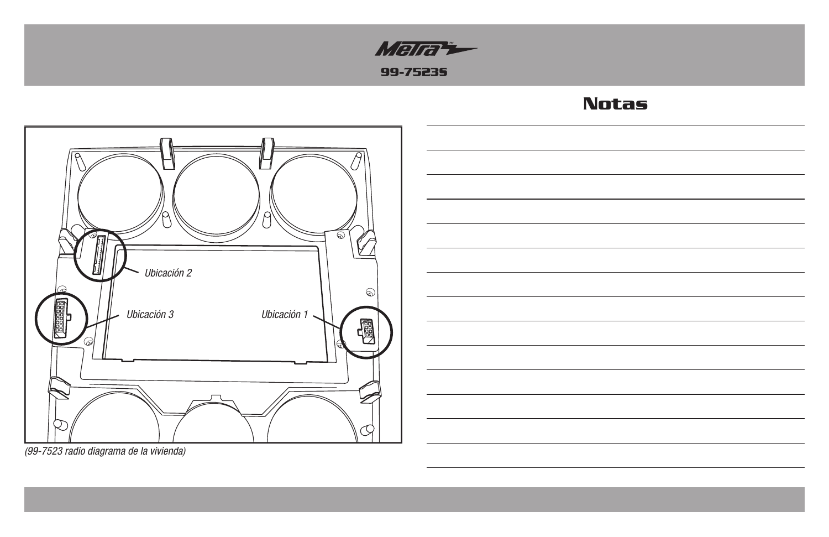

# **Notas**





*(99-7523 radio diagrama de la vivienda)*